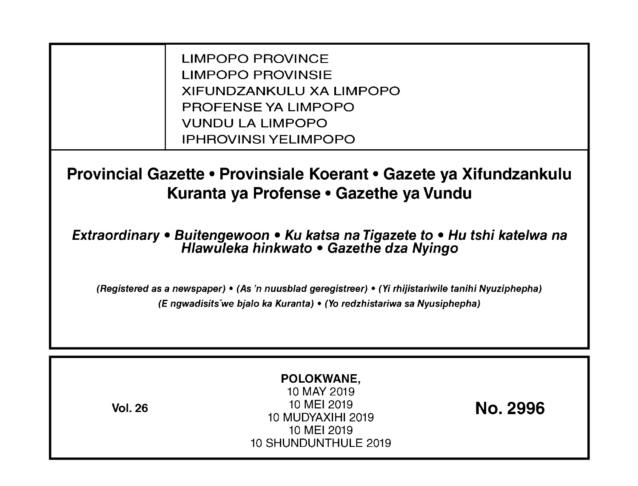LIMPOPO PROVINCE LIMPOPO PROVINSIE XIFUNDZANKULU XA LIMPOPO PROFENSE YA LIMPOPO VUNDU LA LIMPOPO IPHROVINSI YELIMPOPO

# Provincial Gazette· Provinsiale Koerant· Gazete ya Xifundzankulu Kuranta ya Profense· Gazethe ya Vundu

## Extraordinary • Buitengewoon • Ku katsa na Tigazete to • Hu tshi katelwa na Hlawuleka hinkwato • Gazethe dza Nyingo

(Registered as a newspaper) • (As 'n nuusblad geregistreer) • (Yi rhijistariwile tanihi Nyuziphepha) (E ngwadisits we bjalo ka Kuranta) • (Yo redzhistariwa sa Nyusiphepha)

|  | <b>Vol. 26</b> | POLOKWANE,<br>10 MAY 2019<br>10 MEI 2019<br>10 MUDYAXIHI 2019<br>10 MEI 2019<br>10 SHUNDUNTHULE 2019 | <b>No. 2996</b> |
|--|----------------|------------------------------------------------------------------------------------------------------|-----------------|
|--|----------------|------------------------------------------------------------------------------------------------------|-----------------|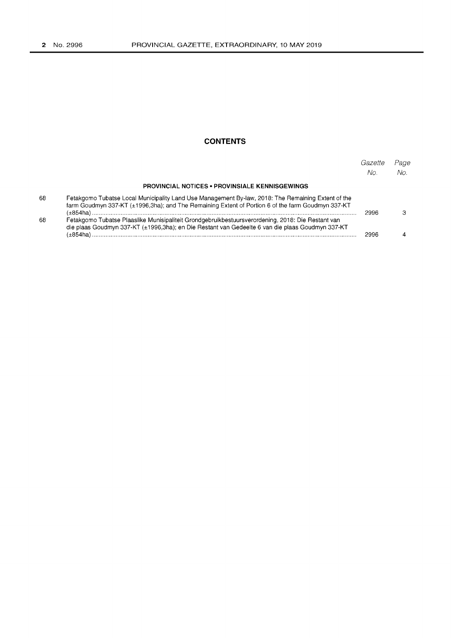## **CONTENTS**

|    |                                                                                                                                                                                                         | Gazette<br>No. | Page<br>No. |
|----|---------------------------------------------------------------------------------------------------------------------------------------------------------------------------------------------------------|----------------|-------------|
|    | <b>PROVINCIAL NOTICES • PROVINSIALE KENNISGEWINGS</b>                                                                                                                                                   |                |             |
| 68 | Fetakgomo Tubatse Local Municipality Land Use Management By-law, 2018: The Remaining Extent of the<br>farm Goudmyn 337-KT (±1996,3ha); and The Remaining Extent of Portion 6 of the farm Goudmyn 337-KT | 2996           |             |
| 68 | Fetakgomo Tubatse Plaaslike Munisipaliteit Grondgebruikbestuursverordening, 2018: Die Restant van<br>die plaas Goudmyn 337-KT (±1996,3ha); en Die Restant van Gedeelte 6 van die plaas Goudmyn 337-KT   |                |             |
|    |                                                                                                                                                                                                         | 2996           |             |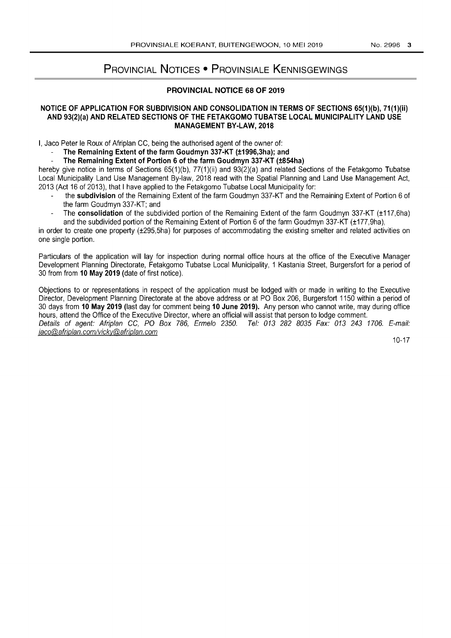## PROVINCIAL NOTICES • PROVINSIALE KENNISGEWINGS

### PROVINCIAL NOTICE 68 OF 2019

### NOTICE OF APPLICATION FOR SUBDIVISION AND CONSOLIDATION IN TERMS OF SECTIONS 65(1)(b), 71(1)(ii) AND 93(2)(a) AND RELATED SECTIONS OF THE FETAKGOMO TUBATSE LOCAL MUNICIPALITY LAND USE MANAGEMENT BY-LAW, 2018

I, Jaco Peter Ie Roux of Afriplan CC, being the authorised agent of the owner of:

The Remaining Extent of the farm Goudmyn 337-KT (±1996,3ha); and

The Remaining Extent of Portion 6 of the farm Goudmyn 337-KT (±854ha)

hereby give notice in terms of Sections 65(1)(b), 77(1)(ii) and 93(2)(a) and related Sections of the Fetakgomo Tubatse Local Municipality Land Use Management By-law, 2018 read with the Spatial Planning and Land Use Management Act, 2013 (Act 16 of 2013), that I have applied to the Fetakgomo Tubatse Local Municipality for:

- the subdivision of the Remaining Extent of the farm Goudmyn 337-KT and the Remaining Extent of Portion 6 of the farm Goudmyn 337-KT; and
- The consolidation of the subdivided portion of the Remaining Extent of the farm Goudmyn 337-KT (±117,6ha) and the subdivided portion of the Remaining Extent of Portion 6 of the farm Goudmyn 337-KT (±177,9ha),

in order to create one property (±295,5ha) for purposes of accommodating the existing smelter and related activities on one single portion.

Particulars of the application will lay for inspection during normal office hours at the office of the Executive Manager Development Planning Directorate, Fetakgomo Tubatse Local Municipality, 1 Kastania Street, Burgersfort for a period of 30 from from 10 May 2019 (date of first notice).

Objections to or representations in respect of the application must be lodged with or made in writing to the Executive Director, Development Planning Directorate at the above address or at PO Box 206, Burgersfort 1150 within a period of 30 days from 10 May 2019 (last day for comment being 10 June 2019). Any person who cannot write, may during office hours, attend the Office of the Executive Director, where an official will assist that person to lodge comment. Details of agent: Afriplan CC, PO Box 786, Ermelo 2350. Tel: 013 282 8035 Fax: 013 243 1706. E-mail: jaco@afriplan.com/vicky@afriplan.com

10-17